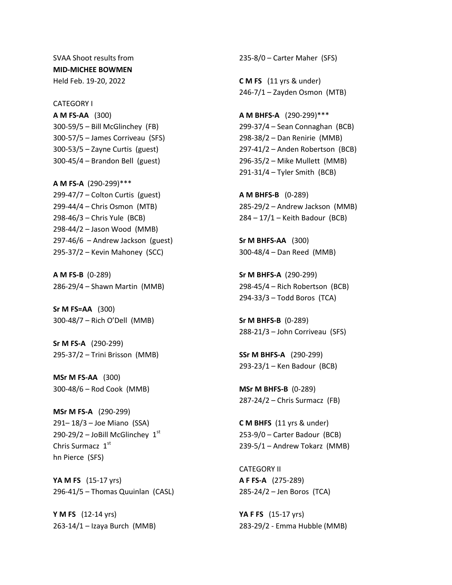SVAA Shoot results from **MID-MICHEE BOWMEN** Held Feb. 19-20, 2022

CATEGORY I **A M FS-AA** (300) 300-59/5 – Bill McGlinchey (FB) 300-57/5 – James Corriveau (SFS) 300-53/5 – Zayne Curtis (guest) 300-45/4 – Brandon Bell (guest)

**A M FS-A** (290-299)\*\*\* 299-47/7 – Colton Curtis (guest) 299-44/4 – Chris Osmon (MTB) 298-46/3 – Chris Yule (BCB) 298-44/2 – Jason Wood (MMB) 297-46/6 – Andrew Jackson (guest) 295-37/2 – Kevin Mahoney (SCC)

**A M FS-B** (0-289) 286-29/4 – Shawn Martin (MMB)

**Sr M FS=AA** (300) 300-48/7 – Rich O'Dell (MMB)

**Sr M FS-A** (290-299) 295-37/2 – Trini Brisson (MMB)

**MSr M FS-AA** (300) 300-48/6 – Rod Cook (MMB)

**MSr M FS-A** (290-299) 291– 18/3 – Joe Miano (SSA) 290-29/2 – JoBill McGlinchey  $1<sup>st</sup>$ Chris Surmacz 1st hn Pierce (SFS)

**YA M FS** (15-17 yrs) 296-41/5 – Thomas Quuinlan (CASL)

**Y M FS** (12-14 yrs) 263-14/1 – Izaya Burch (MMB) 235-8/0 – Carter Maher (SFS)

**C M FS** (11 yrs & under) 246-7/1 – Zayden Osmon (MTB)

**A M BHFS-A** (290-299)\*\*\* 299-37/4 – Sean Connaghan (BCB) 298-38/2 – Dan Renirie (MMB) 297-41/2 – Anden Robertson (BCB) 296-35/2 – Mike Mullett (MMB) 291-31/4 – Tyler Smith (BCB)

**A M BHFS-B** (0-289) 285-29/2 – Andrew Jackson (MMB) 284 – 17/1 – Keith Badour (BCB)

**Sr M BHFS-AA** (300) 300-48/4 – Dan Reed (MMB)

**Sr M BHFS-A** (290-299) 298-45/4 – Rich Robertson (BCB) 294-33/3 – Todd Boros (TCA)

**Sr M BHFS-B** (0-289) 288-21/3 – John Corriveau (SFS)

**SSr M BHFS-A** (290-299) 293-23/1 – Ken Badour (BCB)

**MSr M BHFS-B** (0-289) 287-24/2 – Chris Surmacz (FB)

**C M BHFS** (11 yrs & under) 253-9/0 – Carter Badour (BCB) 239-5/1 – Andrew Tokarz (MMB)

CATEGORY II **A F FS-A** (275-289) 285-24/2 – Jen Boros (TCA)

**YA F FS** (15-17 yrs) 283-29/2 - Emma Hubble (MMB)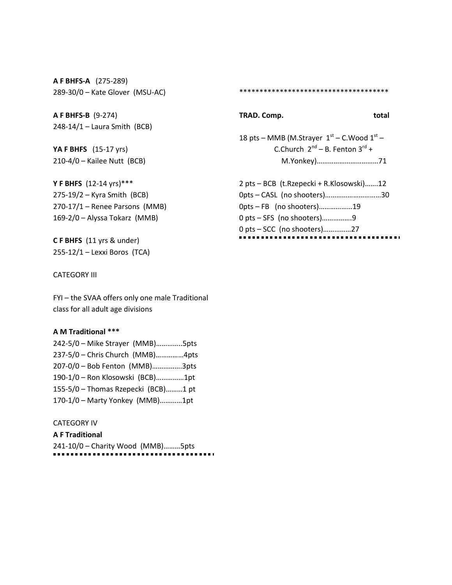**A F BHFS-A** (275-289) 289-30/0 – Kate Glover (MSU-AC)

**A F BHFS-B** (9-274) 248-14/1 – Laura Smith (BCB)

**YA F BHFS** (15-17 yrs) 210-4/0 – Kailee Nutt (BCB)

**Y F BHFS** (12-14 yrs)\*\*\* 275-19/2 – Kyra Smith (BCB) 270-17/1 – Renee Parsons (MMB) 169-2/0 – Alyssa Tokarz (MMB)

**C F BHFS** (11 yrs & under) 255-12/1 – Lexxi Boros (TCA)

## CATEGORY III

FYI – the SVAA offers only one male Traditional class for all adult age divisions

### **A M Traditional \*\*\***

| 242-5/0 - Mike Strayer (MMB)5pts    |  |
|-------------------------------------|--|
| 237-5/0 - Chris Church (MMB)4pts    |  |
| 207-0/0 - Bob Fenton (MMB)3pts      |  |
| 190-1/0 - Ron Klosowski (BCB)1pt    |  |
| 155-5/0 - Thomas Rzepecki (BCB)1 pt |  |
| 170-1/0 - Marty Yonkey (MMB)1pt     |  |

## CATEGORY IV

**A F Traditional** 241-10/0 – Charity Wood (MMB)………5pts \*\*\*\*\*\*\*\*\*\*\*\*\*\*\*\*\*\*\*\*\*\*\*\*\*\*\*\*\*\*\*\*\*\*\*\*\*

## **TRAD. Comp.** total

18 pts – MMB (M.Strayer  $1<sup>st</sup>$  – C.Wood  $1<sup>st</sup>$  – C.Church  $2^{nd}$  – B. Fenton  $3^{rd}$  + M.Yonkey)……………………………71

| 2 pts – BCB (t. Rzepecki + R. Klosowski)12 |  |
|--------------------------------------------|--|
| 0pts - CASL (no shooters)30                |  |
| 0pts – FB (no shooters)19                  |  |
| 0 pts – SFS (no shooters)9                 |  |
| 0 pts – SCC (no shooters)27                |  |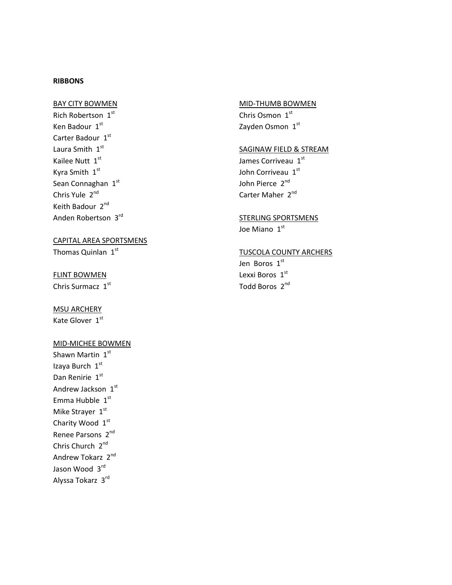## **RIBBONS**

### BAY CITY BOWMEN

Rich Robertson 1st Ken Badour 1st Carter Badour 1st Laura Smith 1st Kailee Nutt 1st Kyra Smith 1st Sean Connaghan 1st Chris Yule 2<sup>nd</sup> Keith Badour 2<sup>nd</sup> Anden Robertson 3rd

## CAPITAL AREA SPORTSMENS

Thomas Quinlan  $1<sup>st</sup>$ 

#### FLINT BOWMEN

Chris Surmacz 1st

## MSU ARCHERY

Kate Glover 1st

### MID-MICHEE BOWMEN

Shawn Martin 1st Izaya Burch 1st Dan Renirie 1st Andrew Jackson 1st Emma Hubble  $1<sup>st</sup>$ Mike Strayer 1st Charity Wood 1st Renee Parsons 2<sup>nd</sup> Chris Church 2<sup>nd</sup> Andrew Tokarz 2nd Jason Wood 3rd Alyssa Tokarz 3rd

## MID-THUMB BOWMEN

Chris Osmon 1st Zayden Osmon 1st

## SAGINAW FIELD & STREAM

James Corriveau 1st John Corriveau 1st John Pierce 2<sup>nd</sup> Carter Maher 2<sup>nd</sup>

## STERLING SPORTSMENS

Joe Miano 1st

# TUSCOLA COUNTY ARCHERS

Jen Boros 1st Lexxi Boros 1st Todd Boros 2<sup>nd</sup>